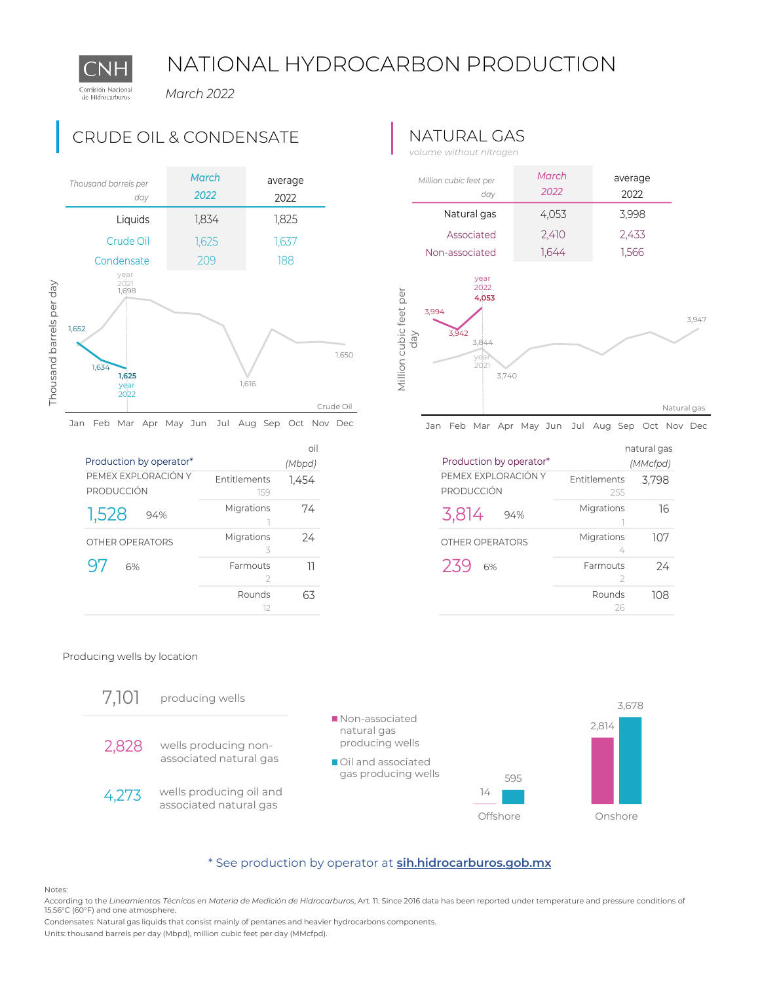# NATIONAL HYDROCARBON PRODUCTION

*March 2022*



**97** 6% Farmouts 11

Entitlements 1,454 159 Migrations 74 1 Migrations 24 3

oil *(Mbpd)*

 $\overline{\phantom{a}}$ Rounds 63 12

## CRUDE OIL & CONDENSATE NATURAL GAS

*volume without nitrogen*



Jan Feb Mar Apr May Jun Jul Aug Sep Oct Nov Dec

|                                   |                            | natural gas |
|-----------------------------------|----------------------------|-------------|
| Production by operator*           |                            | (MMcfpd)    |
| PEMEX EXPLORACIÓN Y<br>PRODUCCIÓN | <b>Entitlements</b><br>255 | 3,798       |
| 3,814<br>94%                      | Migrations                 | 16          |
| OTHER OPERATORS                   | Migrations<br>4            | 107         |
| 239<br>6%                         | Farmouts<br>2              | 24          |
|                                   | Rounds<br>26               | 108         |

#### Producing wells by location

PEMEX EXPLORACIÓN Y

Production by operator\*

 $\frac{1,528}{0}$  94%

6%

PRODUCCIÓN

1,528

Comisión Nacional de Hidrocarburos



### [\\*](https://sih.hidrocarburos.gob.mx/) See production by operator at **[sih.hidrocarburos.gob.mx](https://sih.hidrocarburos.gob.mx/)**

Notes:

According to the *Lineamientos Técnicos en Materia de Medición de Hidrocarburos*, Art. 11. Since 2016 data has been reported under temperature and pressure conditions of 15.56°C (60°F) and one atmosphere.

Condensates: Natural gas liquids that consist mainly of pentanes and heavier hydrocarbons components.

Units: thousand barrels per day (Mbpd), million cubic feet per day (MMcfpd).